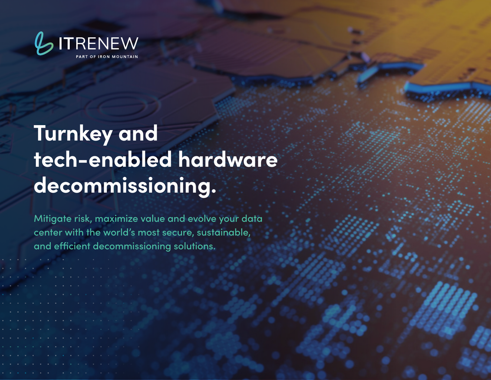

# **Turnkey and tech-enabled hardware decommissioning.**

Mitigate risk, maximize value and evolve your data center with the world's most secure, sustainable, and efficient decommissioning solutions.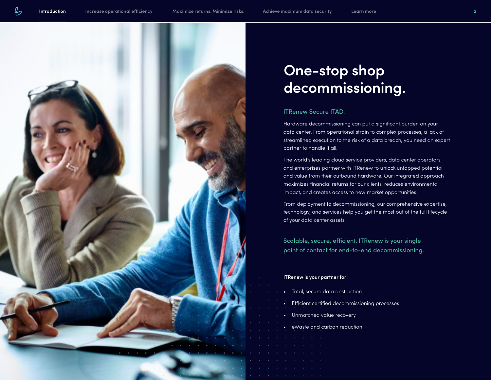<span id="page-1-0"></span>

### **One-stop shop decommissioning.**

#### ITRenew Secure ITAD.

Hardware decommissioning can put a significant burden on your data center. From operational strain to complex processes, a lack of streamlined execution to the risk of a data breach, you need an expert partner to handle it all.

The world's leading cloud service providers, data center operators, and enterprises partner with ITRenew to unlock untapped potential and value from their outbound hardware. Our integrated approach maximizes financial returns for our clients, reduces environmental impact, and creates access to new market opportunities.

From deployment to decommissioning, our comprehensive expertise, technology, and services help you get the most out of the full lifecycle of your data center assets.

Scalable, secure, efficient. ITRenew is your single point of contact for end-to-end decommissioning.

#### **ITRenew is your partner for:**

- Total, secure data destruction
- Efficient certified decommissioning processes
- Unmatched value recovery
- eWaste and carbon reduction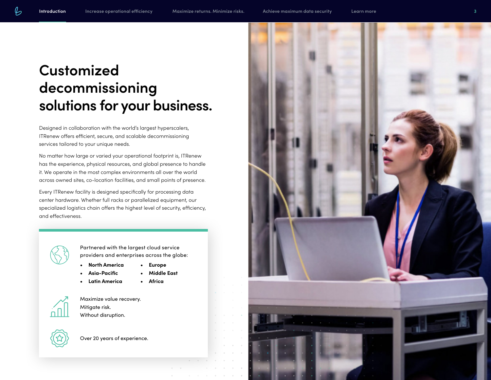## **Customized decommissioning solutions for your business.**

Designed in collaboration with the world's largest hyperscalers, ITRenew offers efficient, secure, and scalable decommissioning services tailored to your unique needs.

No matter how large or varied your operational footprint is, ITRenew has the experience, physical resources, and global presence to handle it. We operate in the most complex environments all over the world across owned sites, co-location facilities, and small points of presence.

Every ITRenew facility is designed specifically for processing data center hardware. Whether full racks or parallelized equipment, our specialized logistics chain offers the highest level of security, efficiency, and effectiveness.

- Partnered with the largest cloud service providers and enterprises across the globe:
	- **North America • Europe**
	- **Asia-Pacific**
	- **Latin America • Africa**

**• Middle East**



Maximize value recovery. Mitigate risk. Without disruption.

Over 20 years of experience.

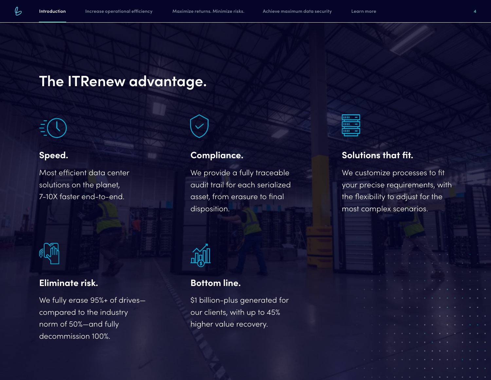### **The ITRenew advantage.**



#### **Speed.**

Most efficient data center solutions on the planet, 7-10X faster end-to-end.



#### **Eliminate risk.**

We fully erase 95%+ of drives compared to the industry norm of 50%—and fully decommission 100%.



#### **Compliance.**

We provide a fully traceable audit trail for each serialized asset, from erasure to final disposition.



### **Bottom line.**

\$1 billion-plus generated for our clients, with up to 45% higher value recovery.



### **Solutions that fit.**

We customize processes to fit your precise requirements, with the flexibility to adjust for the most complex scenarios.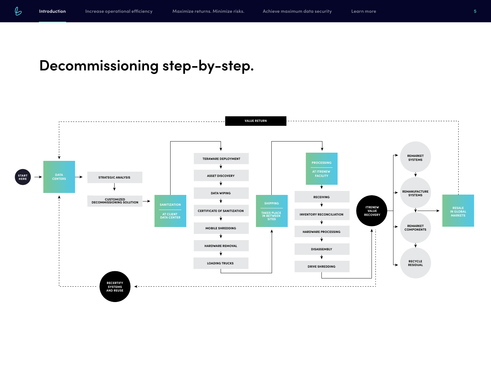## **Decommissioning step-by-step.**

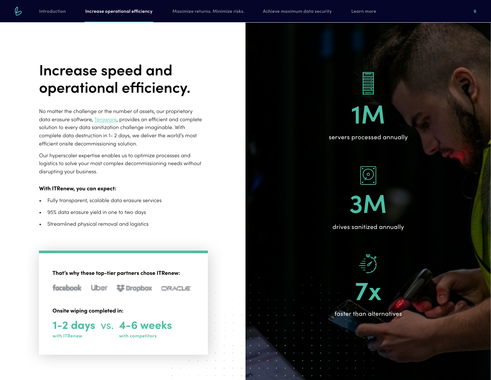## <span id="page-5-0"></span>**Increase speed and operational efficiency.**

No matter the challenge or the number of assets, our proprietary data erasure software, [Teraware](https://www.itrenew.com/data-destruction/), provides an efficient and complete solution to every data sanitization challenge imaginable. With complete data destruction in 1- 2 days, we deliver the world's most efficient onsite decommissioning solution.

Our hyperscaler expertise enables us to optimize processes and logistics to solve your most complex decommissioning needs without disrupting your business.

#### **With ITRenew, you can expect:**

- Fully transparent, scalable data erasure services
- 95% data erasure yield in one to two days
- Streamlined physical removal and logistics

**That's why these top-tier partners chose ITRenew:**



걍 Dropbox CRACLE

**Onsite wiping completed in:**

Uber



**with ITRenew**

**with competitors**



servers processed annually





drives sanitized annually

faster than alternatives

**7x**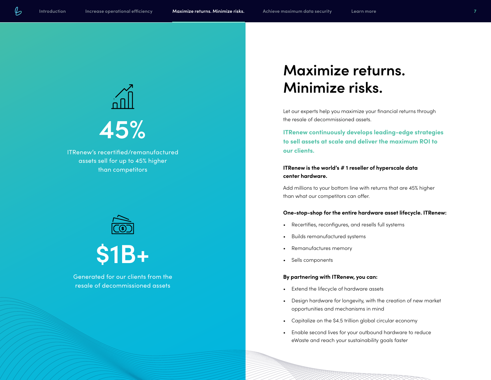<span id="page-6-0"></span>

ITRenew's recertified/remanufactured assets sell for up to 45% higher than competitors





Generated for our clients from the resale of decommissioned assets

### **Maximize returns. Minimize risks.**

Let our experts help you maximize your financial returns through the resale of decommissioned assets.

**ITRenew continuously develops leading-edge strategies to sell assets at scale and deliver the maximum ROI to our clients.**

#### **ITRenew is the world's # 1 reseller of hyperscale data center hardware.**

Add millions to your bottom line with returns that are 45% higher than what our competitors can offer.

#### **One-stop-shop for the entire hardware asset lifecycle. ITRenew:**

- Recertifies, reconfigures, and resells full systems
- Builds remanufactured systems
- Remanufactures memory
- Sells components

#### **By partnering with ITRenew, you can:**

- Extend the lifecycle of hardware assets
- Design hardware for longevity, with the creation of new market opportunities and mechanisms in mind
- Capitalize on the \$4.5 trillion global circular economy
- Enable second lives for your outbound hardware to reduce eWaste and reach your sustainability goals faster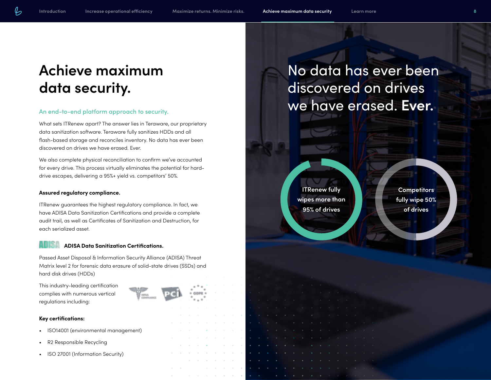### **Achieve maximum data security.**

#### An end-to-end platform approach to security.

What sets ITRenew apart? The answer lies in Teraware, our proprietary data sanitization software. Teraware fully sanitizes HDDs and all flash-based storage and reconciles inventory. No data has ever been discovered on drives we have erased. Ever.

We also complete physical reconciliation to confirm we've accounted for every drive. This process virtually eliminates the potential for harddrive escapes, delivering a 95%+ yield vs. competitors' 50%.

#### **Assured regulatory compliance.**

ITRenew guarantees the highest regulatory compliance. In fact, we have ADISA Data Sanitization Certifications and provide a complete audit trail, as well as Certificates of Sanitization and Destruction, for each serialized asset.

#### **ADISA Data Sanitization Certifications.**

Passed Asset Disposal & Information Security Alliance (ADISA) Threat Matrix level 2 for forensic data erasure of solid-state drives (SSDs) and hard disk drives (HDDs)

This industry-leading certification complies with numerous vertical regulations including:



- ISO14001 (environmental management)
- R2 Responsible Recycling
- ISO 27001 (Information Security)

## No data has ever been discovered on drives we have erased. **Ever.**

**ITRenew fully wipes more than 95% of drives**

**Competitors fully wipe 50% of drives**

<span id="page-7-0"></span>